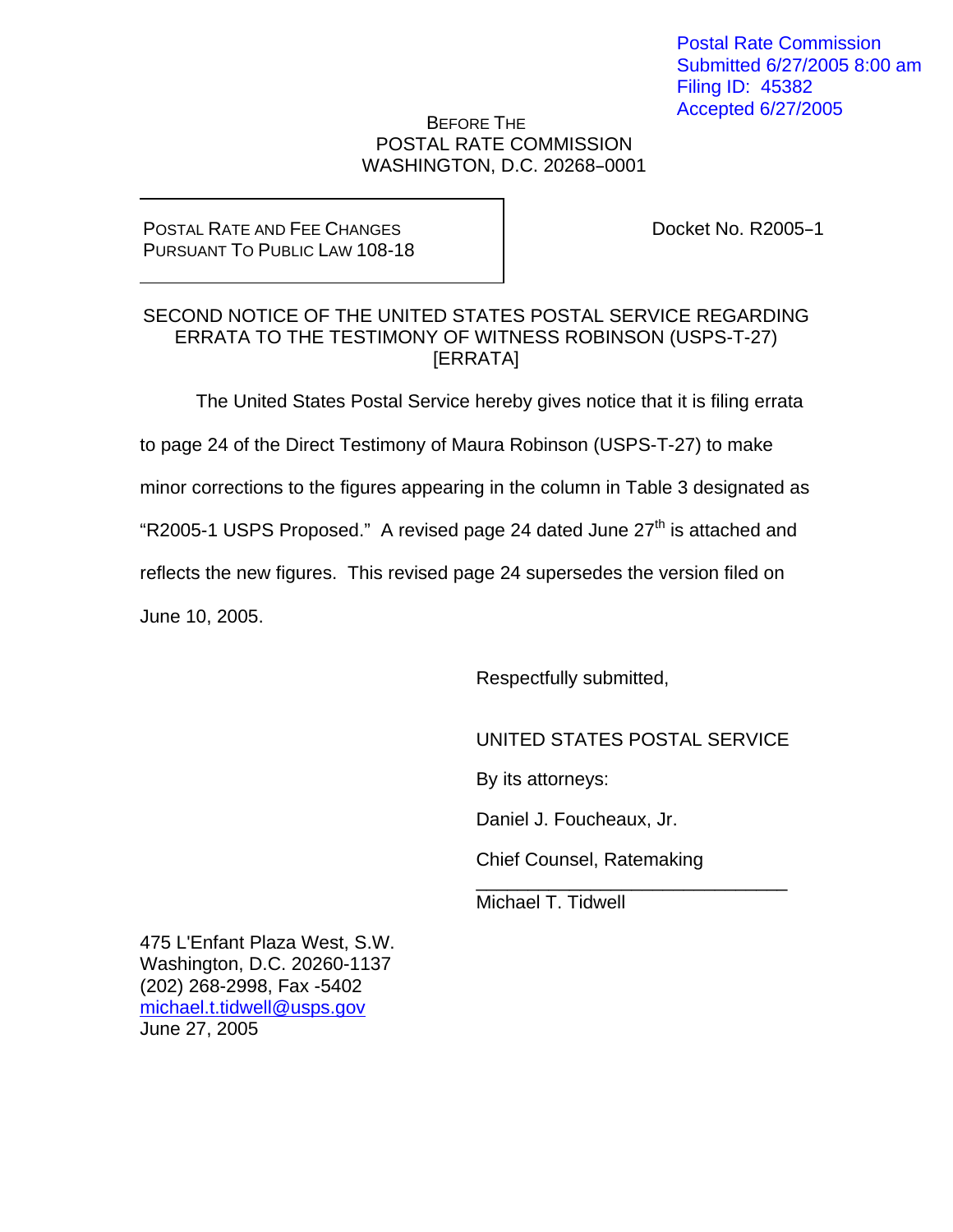Postal Rate Commission Submitted 6/27/2005 8:00 am Filing ID: 45382 Accepted 6/27/2005

## BEFORE THE POSTAL RATE COMMISSION WASHINGTON, D.C. 20268-0001

## POSTAL RATE AND FEE CHANGES PURSUANT TO PUBLIC LAW 108-18

Docket No. R2005-1

## SECOND NOTICE OF THE UNITED STATES POSTAL SERVICE REGARDING ERRATA TO THE TESTIMONY OF WITNESS ROBINSON (USPS-T-27) [ERRATA]

The United States Postal Service hereby gives notice that it is filing errata

to page 24 of the Direct Testimony of Maura Robinson (USPS-T-27) to make

minor corrections to the figures appearing in the column in Table 3 designated as

"R2005-1 USPS Proposed." A revised page 24 dated June  $27<sup>th</sup>$  is attached and

reflects the new figures. This revised page 24 supersedes the version filed on

 $\overline{\phantom{a}}$  , and the contract of the contract of the contract of the contract of the contract of the contract of the contract of the contract of the contract of the contract of the contract of the contract of the contrac

June 10, 2005.

Respectfully submitted,

UNITED STATES POSTAL SERVICE

By its attorneys:

Daniel J. Foucheaux, Jr.

Chief Counsel, Ratemaking

Michael T. Tidwell

475 L'Enfant Plaza West, S.W. Washington, D.C. 20260-1137 (202) 268-2998, Fax -5402 michael.t.tidwell@usps.gov June 27, 2005